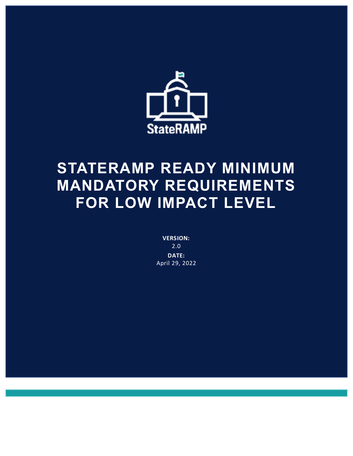

# **STATERAMP READY MINIMUM MANDATORY REQUIREMENTS FOR LOW IMPACT LEVEL**

**VERSION:** 2.0 **DATE:** April 29, 2022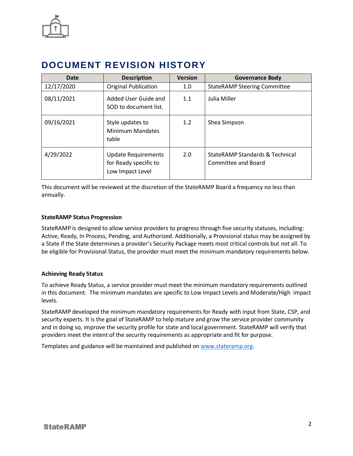

# **DOCUMENT REVISION HISTORY**

| Date       | <b>Description</b>                                                      | <b>Version</b> | <b>Governance Body</b>                                 |
|------------|-------------------------------------------------------------------------|----------------|--------------------------------------------------------|
| 12/17/2020 | <b>Original Publication</b>                                             | 1.0            | <b>StateRAMP Steering Committee</b>                    |
| 08/11/2021 | Added User Guide and<br>SOD to document list.                           | 1.1            | Julia Miller                                           |
| 09/16/2021 | Style updates to<br><b>Minimum Mandates</b><br>table                    | 1.2            | Shea Simpson                                           |
| 4/29/2022  | <b>Update Requirements</b><br>for Ready specific to<br>Low Impact Level | 2.0            | StateRAMP Standards & Technical<br>Committee and Board |

This document will be reviewed at the discretion of the StateRAMP Board a frequency no less than annually.

#### **StateRAMP Status Progression**

StateRAMP is designed to allow service providers to progress through five security statuses, including: Active, Ready, In Process, Pending, and Authorized. Additionally, a Provisional status may be assigned by a State if the State determines a provider's Security Package meets most critical controls but not all. To be eligible for Provisional Status, the provider must meet the minimum mandatory requirements below.

#### **Achieving Ready Status**

To achieve Ready Status, a service provider must meet the minimum mandatory requirements outlined in this document. The minimum mandates are specific to Low Impact Levels and Moderate/High impact levels.

StateRAMP developed the minimum mandatory requirements for Ready with input from State, CSP, and security experts. It is the goal of StateRAMP to help mature and grow the service provider community and in doing so, improve the security profile for state and local government. StateRAMP will verify that providers meet the intent of the security requirements as appropriate and fit for purpose.

Templates and guidance will be maintained and published on [www.stateramp.org.](http://www.stateramp.org/)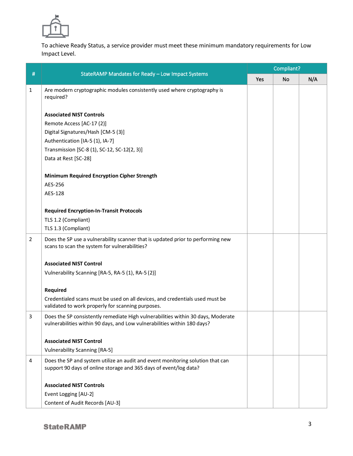

To achieve Ready Status, a service provider must meet these minimum mandatory requirements for Low Impact Level.

|                | StateRAMP Mandates for Ready - Low Impact Systems                                                                                                            | Compliant? |           |     |  |
|----------------|--------------------------------------------------------------------------------------------------------------------------------------------------------------|------------|-----------|-----|--|
| #              |                                                                                                                                                              | Yes        | <b>No</b> | N/A |  |
| 1              | Are modern cryptographic modules consistently used where cryptography is<br>required?                                                                        |            |           |     |  |
|                | <b>Associated NIST Controls</b>                                                                                                                              |            |           |     |  |
|                | Remote Access [AC-17 (2)]                                                                                                                                    |            |           |     |  |
|                | Digital Signatures/Hash [CM-5 (3)]                                                                                                                           |            |           |     |  |
|                | Authentication [IA-5 (1), IA-7]                                                                                                                              |            |           |     |  |
|                | Transmission [SC-8 (1), SC-12, SC-12(2, 3)]                                                                                                                  |            |           |     |  |
|                | Data at Rest [SC-28]                                                                                                                                         |            |           |     |  |
|                | <b>Minimum Required Encryption Cipher Strength</b>                                                                                                           |            |           |     |  |
|                | AES-256                                                                                                                                                      |            |           |     |  |
|                | AES-128                                                                                                                                                      |            |           |     |  |
|                | <b>Required Encryption-In-Transit Protocols</b>                                                                                                              |            |           |     |  |
|                | TLS 1.2 (Compliant)                                                                                                                                          |            |           |     |  |
|                | TLS 1.3 (Compliant)                                                                                                                                          |            |           |     |  |
| $\overline{2}$ | Does the SP use a vulnerability scanner that is updated prior to performing new<br>scans to scan the system for vulnerabilities?                             |            |           |     |  |
|                | <b>Associated NIST Control</b>                                                                                                                               |            |           |     |  |
|                | Vulnerability Scanning [RA-5, RA-5 (1), RA-5 (2)]                                                                                                            |            |           |     |  |
|                | Required                                                                                                                                                     |            |           |     |  |
|                | Credentialed scans must be used on all devices, and credentials used must be<br>validated to work properly for scanning purposes.                            |            |           |     |  |
| 3              | Does the SP consistently remediate High vulnerabilities within 30 days, Moderate<br>vulnerabilities within 90 days, and Low vulnerabilities within 180 days? |            |           |     |  |
|                | <b>Associated NIST Control</b>                                                                                                                               |            |           |     |  |
|                | <b>Vulnerability Scanning [RA-5]</b>                                                                                                                         |            |           |     |  |
| 4              | Does the SP and system utilize an audit and event monitoring solution that can                                                                               |            |           |     |  |
|                | support 90 days of online storage and 365 days of event/log data?                                                                                            |            |           |     |  |
|                | <b>Associated NIST Controls</b>                                                                                                                              |            |           |     |  |
|                | Event Logging [AU-2]                                                                                                                                         |            |           |     |  |
|                | Content of Audit Records [AU-3]                                                                                                                              |            |           |     |  |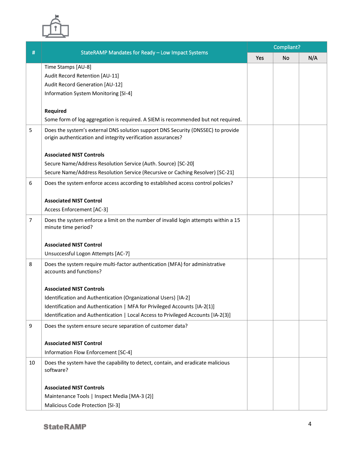

|    | StateRAMP Mandates for Ready - Low Impact Systems                                                                                                | Compliant? |           |     |  |
|----|--------------------------------------------------------------------------------------------------------------------------------------------------|------------|-----------|-----|--|
| #  |                                                                                                                                                  | Yes        | <b>No</b> | N/A |  |
|    | Time Stamps [AU-8]                                                                                                                               |            |           |     |  |
|    | Audit Record Retention [AU-11]                                                                                                                   |            |           |     |  |
|    | Audit Record Generation [AU-12]                                                                                                                  |            |           |     |  |
|    | Information System Monitoring [SI-4]                                                                                                             |            |           |     |  |
|    | Required                                                                                                                                         |            |           |     |  |
|    | Some form of log aggregation is required. A SIEM is recommended but not required.                                                                |            |           |     |  |
| 5  | Does the system's external DNS solution support DNS Security (DNSSEC) to provide<br>origin authentication and integrity verification assurances? |            |           |     |  |
|    | <b>Associated NIST Controls</b>                                                                                                                  |            |           |     |  |
|    | Secure Name/Address Resolution Service (Auth. Source) [SC-20]                                                                                    |            |           |     |  |
|    | Secure Name/Address Resolution Service (Recursive or Caching Resolver) [SC-21]                                                                   |            |           |     |  |
| 6  | Does the system enforce access according to established access control policies?                                                                 |            |           |     |  |
|    |                                                                                                                                                  |            |           |     |  |
|    | <b>Associated NIST Control</b>                                                                                                                   |            |           |     |  |
|    | <b>Access Enforcement [AC-3]</b>                                                                                                                 |            |           |     |  |
| 7  | Does the system enforce a limit on the number of invalid login attempts within a 15<br>minute time period?                                       |            |           |     |  |
|    | <b>Associated NIST Control</b>                                                                                                                   |            |           |     |  |
|    | Unsuccessful Logon Attempts [AC-7]                                                                                                               |            |           |     |  |
| 8  | Does the system require multi-factor authentication (MFA) for administrative<br>accounts and functions?                                          |            |           |     |  |
|    | <b>Associated NIST Controls</b>                                                                                                                  |            |           |     |  |
|    | Identification and Authentication (Organizational Users) [IA-2]                                                                                  |            |           |     |  |
|    | Identification and Authentication   MFA for Privileged Accounts [IA-2(1)]                                                                        |            |           |     |  |
|    | Identification and Authentication   Local Access to Privileged Accounts [IA-2(3)]                                                                |            |           |     |  |
| 9  | Does the system ensure secure separation of customer data?                                                                                       |            |           |     |  |
|    | <b>Associated NIST Control</b>                                                                                                                   |            |           |     |  |
|    | Information Flow Enforcement [SC-4]                                                                                                              |            |           |     |  |
| 10 | Does the system have the capability to detect, contain, and eradicate malicious<br>software?                                                     |            |           |     |  |
|    |                                                                                                                                                  |            |           |     |  |
|    | <b>Associated NIST Controls</b>                                                                                                                  |            |           |     |  |
|    | Maintenance Tools   Inspect Media [MA-3 (2)]                                                                                                     |            |           |     |  |
|    | Malicious Code Protection [SI-3]                                                                                                                 |            |           |     |  |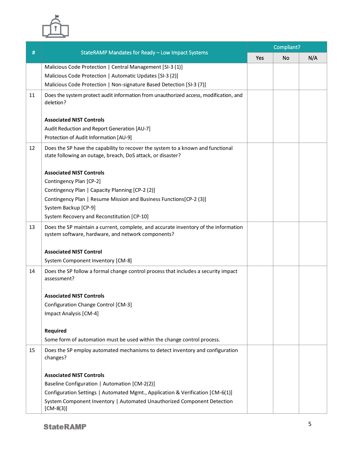

|    |                                                                                                                                                | Compliant? |           |     |  |
|----|------------------------------------------------------------------------------------------------------------------------------------------------|------------|-----------|-----|--|
| #  | StateRAMP Mandates for Ready - Low Impact Systems                                                                                              | Yes        | <b>No</b> | N/A |  |
|    | Malicious Code Protection   Central Management [SI-3 (1)]                                                                                      |            |           |     |  |
|    | Malicious Code Protection   Automatic Updates [SI-3 (2)]                                                                                       |            |           |     |  |
|    | Malicious Code Protection   Non-signature Based Detection [SI-3 (7)]                                                                           |            |           |     |  |
| 11 | Does the system protect audit information from unauthorized access, modification, and<br>deletion?                                             |            |           |     |  |
|    | <b>Associated NIST Controls</b>                                                                                                                |            |           |     |  |
|    | Audit Reduction and Report Generation [AU-7]                                                                                                   |            |           |     |  |
|    | Protection of Audit Information [AU-9]                                                                                                         |            |           |     |  |
| 12 | Does the SP have the capability to recover the system to a known and functional<br>state following an outage, breach, DoS attack, or disaster? |            |           |     |  |
|    | <b>Associated NIST Controls</b>                                                                                                                |            |           |     |  |
|    | Contingency Plan [CP-2]                                                                                                                        |            |           |     |  |
|    | Contingency Plan   Capacity Planning [CP-2 (2)]                                                                                                |            |           |     |  |
|    | Contingency Plan   Resume Mission and Business Functions [CP-2 (3)]                                                                            |            |           |     |  |
|    | System Backup [CP-9]                                                                                                                           |            |           |     |  |
|    | System Recovery and Reconstitution [CP-10]                                                                                                     |            |           |     |  |
| 13 | Does the SP maintain a current, complete, and accurate inventory of the information<br>system software, hardware, and network components?      |            |           |     |  |
|    | <b>Associated NIST Control</b>                                                                                                                 |            |           |     |  |
|    | System Component Inventory [CM-8]                                                                                                              |            |           |     |  |
| 14 | Does the SP follow a formal change control process that includes a security impact<br>assessment?                                              |            |           |     |  |
|    | <b>Associated NIST Controls</b>                                                                                                                |            |           |     |  |
|    | Configuration Change Control [CM-3]                                                                                                            |            |           |     |  |
|    | Impact Analysis [CM-4]                                                                                                                         |            |           |     |  |
|    |                                                                                                                                                |            |           |     |  |
|    | Required                                                                                                                                       |            |           |     |  |
|    | Some form of automation must be used within the change control process.                                                                        |            |           |     |  |
| 15 | Does the SP employ automated mechanisms to detect inventory and configuration<br>changes?                                                      |            |           |     |  |
|    | <b>Associated NIST Controls</b>                                                                                                                |            |           |     |  |
|    | Baseline Configuration   Automation [CM-2(2)]                                                                                                  |            |           |     |  |
|    | Configuration Settings   Automated Mgmt., Application & Verification [CM-6(1)]                                                                 |            |           |     |  |
|    | System Component Inventory   Automated Unauthorized Component Detection<br>$[CM-8(3)]$                                                         |            |           |     |  |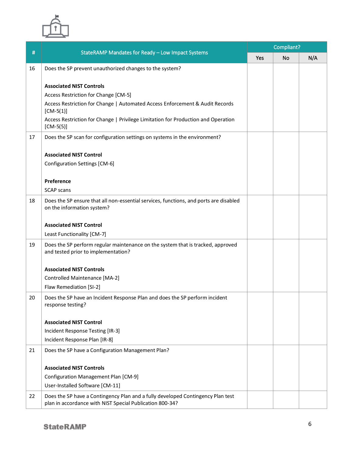

|    |                                                                                                                                             | Compliant? |    |     |  |
|----|---------------------------------------------------------------------------------------------------------------------------------------------|------------|----|-----|--|
| #  | StateRAMP Mandates for Ready - Low Impact Systems                                                                                           | Yes        | No | N/A |  |
| 16 | Does the SP prevent unauthorized changes to the system?                                                                                     |            |    |     |  |
|    |                                                                                                                                             |            |    |     |  |
|    | <b>Associated NIST Controls</b>                                                                                                             |            |    |     |  |
|    | Access Restriction for Change [CM-5]<br>Access Restriction for Change   Automated Access Enforcement & Audit Records                        |            |    |     |  |
|    | $[CM-5(1)]$                                                                                                                                 |            |    |     |  |
|    | Access Restriction for Change   Privilege Limitation for Production and Operation<br>$[CM-5(5)]$                                            |            |    |     |  |
| 17 | Does the SP scan for configuration settings on systems in the environment?                                                                  |            |    |     |  |
|    | <b>Associated NIST Control</b>                                                                                                              |            |    |     |  |
|    | Configuration Settings [CM-6]                                                                                                               |            |    |     |  |
|    |                                                                                                                                             |            |    |     |  |
|    | Preference                                                                                                                                  |            |    |     |  |
|    | <b>SCAP scans</b>                                                                                                                           |            |    |     |  |
| 18 | Does the SP ensure that all non-essential services, functions, and ports are disabled<br>on the information system?                         |            |    |     |  |
|    | <b>Associated NIST Control</b>                                                                                                              |            |    |     |  |
|    | Least Functionality [CM-7]                                                                                                                  |            |    |     |  |
| 19 | Does the SP perform regular maintenance on the system that is tracked, approved<br>and tested prior to implementation?                      |            |    |     |  |
|    | <b>Associated NIST Controls</b>                                                                                                             |            |    |     |  |
|    | Controlled Maintenance [MA-2]                                                                                                               |            |    |     |  |
|    | Flaw Remediation [SI-2]                                                                                                                     |            |    |     |  |
| 20 | Does the SP have an Incident Response Plan and does the SP perform incident<br>response testing?                                            |            |    |     |  |
|    | <b>Associated NIST Control</b>                                                                                                              |            |    |     |  |
|    | Incident Response Testing [IR-3]                                                                                                            |            |    |     |  |
|    | Incident Response Plan [IR-8]                                                                                                               |            |    |     |  |
| 21 | Does the SP have a Configuration Management Plan?                                                                                           |            |    |     |  |
|    |                                                                                                                                             |            |    |     |  |
|    | <b>Associated NIST Controls</b>                                                                                                             |            |    |     |  |
|    | Configuration Management Plan [CM-9]                                                                                                        |            |    |     |  |
|    | User-Installed Software [CM-11]                                                                                                             |            |    |     |  |
| 22 | Does the SP have a Contingency Plan and a fully developed Contingency Plan test<br>plan in accordance with NIST Special Publication 800-34? |            |    |     |  |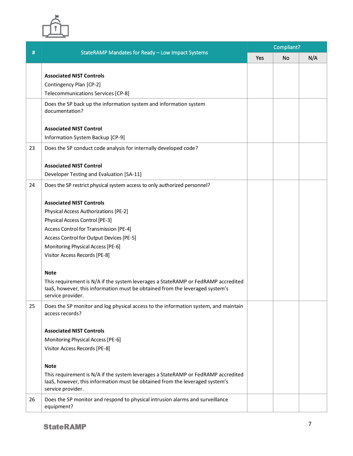

|    |                                                                                                                                                                                        | Compliant? |    |     |  |
|----|----------------------------------------------------------------------------------------------------------------------------------------------------------------------------------------|------------|----|-----|--|
| #  | StateRAMP Mandates for Ready - Low Impact Systems                                                                                                                                      | Yes        | No | N/A |  |
|    |                                                                                                                                                                                        |            |    |     |  |
|    | <b>Associated NIST Controls</b>                                                                                                                                                        |            |    |     |  |
|    | Contingency Plan [CP-2]                                                                                                                                                                |            |    |     |  |
|    | Telecommunications Services [CP-8]                                                                                                                                                     |            |    |     |  |
|    | Does the SP back up the information system and information system<br>documentation?                                                                                                    |            |    |     |  |
|    | <b>Associated NIST Control</b>                                                                                                                                                         |            |    |     |  |
|    | Information System Backup [CP-9]                                                                                                                                                       |            |    |     |  |
| 23 | Does the SP conduct code analysis for internally developed code?                                                                                                                       |            |    |     |  |
|    |                                                                                                                                                                                        |            |    |     |  |
|    | <b>Associated NIST Control</b>                                                                                                                                                         |            |    |     |  |
|    | Developer Testing and Evaluation [SA-11]                                                                                                                                               |            |    |     |  |
| 24 | Does the SP restrict physical system access to only authorized personnel?                                                                                                              |            |    |     |  |
|    |                                                                                                                                                                                        |            |    |     |  |
|    | <b>Associated NIST Controls</b>                                                                                                                                                        |            |    |     |  |
|    | Physical Access Authorizations [PE-2]                                                                                                                                                  |            |    |     |  |
|    | Physical Access Control [PE-3]                                                                                                                                                         |            |    |     |  |
|    | Access Control for Transmission [PE-4]                                                                                                                                                 |            |    |     |  |
|    | Access Control for Output Devices [PE-5]                                                                                                                                               |            |    |     |  |
|    | Monitoring Physical Access [PE-6]                                                                                                                                                      |            |    |     |  |
|    | Visitor Access Records [PE-8]                                                                                                                                                          |            |    |     |  |
|    | <b>Note</b>                                                                                                                                                                            |            |    |     |  |
|    | This requirement is N/A if the system leverages a StateRAMP or FedRAMP accredited                                                                                                      |            |    |     |  |
|    | laaS, however, this information must be obtained from the leveraged system's                                                                                                           |            |    |     |  |
|    | service provider.                                                                                                                                                                      |            |    |     |  |
| 25 | Does the SP monitor and log physical access to the information system, and maintain<br>access records?                                                                                 |            |    |     |  |
|    | <b>Associated NIST Controls</b>                                                                                                                                                        |            |    |     |  |
|    | Monitoring Physical Access [PE-6]                                                                                                                                                      |            |    |     |  |
|    | Visitor Access Records [PE-8]                                                                                                                                                          |            |    |     |  |
|    |                                                                                                                                                                                        |            |    |     |  |
|    | <b>Note</b>                                                                                                                                                                            |            |    |     |  |
|    | This requirement is N/A if the system leverages a StateRAMP or FedRAMP accredited<br>laaS, however, this information must be obtained from the leveraged system's<br>service provider. |            |    |     |  |
| 26 | Does the SP monitor and respond to physical intrusion alarms and surveillance                                                                                                          |            |    |     |  |
|    | equipment?                                                                                                                                                                             |            |    |     |  |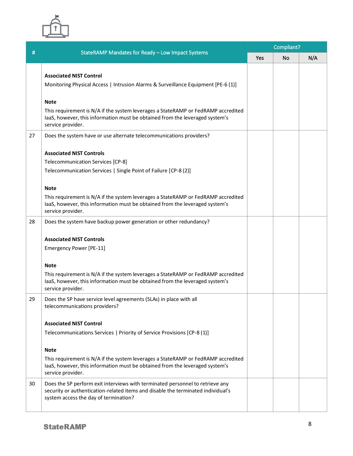

|    |                                                                                                                                                                   | Compliant? |    |     |  |
|----|-------------------------------------------------------------------------------------------------------------------------------------------------------------------|------------|----|-----|--|
| #  | StateRAMP Mandates for Ready - Low Impact Systems                                                                                                                 | Yes        | No | N/A |  |
|    |                                                                                                                                                                   |            |    |     |  |
|    | <b>Associated NIST Control</b>                                                                                                                                    |            |    |     |  |
|    | Monitoring Physical Access   Intrusion Alarms & Surveillance Equipment [PE-6 (1)]                                                                                 |            |    |     |  |
|    |                                                                                                                                                                   |            |    |     |  |
|    | <b>Note</b>                                                                                                                                                       |            |    |     |  |
|    | This requirement is N/A if the system leverages a StateRAMP or FedRAMP accredited                                                                                 |            |    |     |  |
|    | laaS, however, this information must be obtained from the leveraged system's<br>service provider.                                                                 |            |    |     |  |
|    |                                                                                                                                                                   |            |    |     |  |
| 27 | Does the system have or use alternate telecommunications providers?                                                                                               |            |    |     |  |
|    | <b>Associated NIST Controls</b>                                                                                                                                   |            |    |     |  |
|    | Telecommunication Services [CP-8]                                                                                                                                 |            |    |     |  |
|    | Telecommunication Services   Single Point of Failure [CP-8 (2)]                                                                                                   |            |    |     |  |
|    |                                                                                                                                                                   |            |    |     |  |
|    | <b>Note</b>                                                                                                                                                       |            |    |     |  |
|    | This requirement is N/A if the system leverages a StateRAMP or FedRAMP accredited                                                                                 |            |    |     |  |
|    | laaS, however, this information must be obtained from the leveraged system's                                                                                      |            |    |     |  |
|    | service provider.                                                                                                                                                 |            |    |     |  |
| 28 | Does the system have backup power generation or other redundancy?                                                                                                 |            |    |     |  |
|    |                                                                                                                                                                   |            |    |     |  |
|    | <b>Associated NIST Controls</b>                                                                                                                                   |            |    |     |  |
|    | Emergency Power [PE-11]                                                                                                                                           |            |    |     |  |
|    |                                                                                                                                                                   |            |    |     |  |
|    | <b>Note</b>                                                                                                                                                       |            |    |     |  |
|    | This requirement is N/A if the system leverages a StateRAMP or FedRAMP accredited<br>laaS, however, this information must be obtained from the leveraged system's |            |    |     |  |
|    | service provider.                                                                                                                                                 |            |    |     |  |
| 29 | Does the SP have service level agreements (SLAs) in place with all                                                                                                |            |    |     |  |
|    | telecommunications providers?                                                                                                                                     |            |    |     |  |
|    |                                                                                                                                                                   |            |    |     |  |
|    | <b>Associated NIST Control</b>                                                                                                                                    |            |    |     |  |
|    | Telecommunications Services   Priority of Service Provisions [CP-8 (1)]                                                                                           |            |    |     |  |
|    |                                                                                                                                                                   |            |    |     |  |
|    | <b>Note</b>                                                                                                                                                       |            |    |     |  |
|    | This requirement is N/A if the system leverages a StateRAMP or FedRAMP accredited<br>laaS, however, this information must be obtained from the leveraged system's |            |    |     |  |
|    | service provider.                                                                                                                                                 |            |    |     |  |
| 30 | Does the SP perform exit interviews with terminated personnel to retrieve any                                                                                     |            |    |     |  |
|    | security or authentication-related items and disable the terminated individual's                                                                                  |            |    |     |  |
|    | system access the day of termination?                                                                                                                             |            |    |     |  |
|    |                                                                                                                                                                   |            |    |     |  |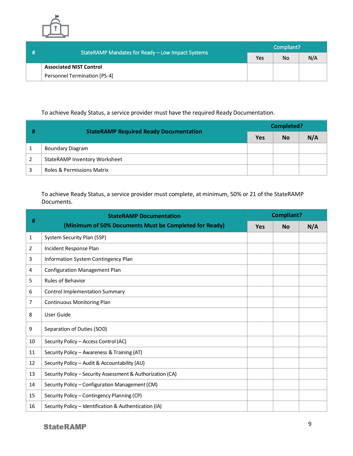

|  | StateRAMP Mandates for Ready - Low Impact Systems | Compliant? |    |     |  |
|--|---------------------------------------------------|------------|----|-----|--|
|  |                                                   | Yes        | No | N/A |  |
|  | <b>Associated NIST Control</b>                    |            |    |     |  |
|  | Personnel Termination [PS-4]                      |            |    |     |  |

## To achieve Ready Status, a service provider must have the required Ready Documentation.

|              | <b>StateRAMP Required Ready Documentation</b> | <b>Completed?</b> |           |     |  |
|--------------|-----------------------------------------------|-------------------|-----------|-----|--|
|              |                                               | Yes               | <b>No</b> | N/A |  |
| $\mathbf{1}$ | Boundary Diagram                              |                   |           |     |  |
| 2            | StateRAMP Inventory Worksheet                 |                   |           |     |  |
| 3            | <b>Roles &amp; Permissions Matrix</b>         |                   |           |     |  |

### To achieve Ready Status, a service provider must complete, at minimum, 50% or 21 of the StateRAMP Documents.

| #              | <b>StateRAMP Documentation</b>                             |     | Compliant? |     |  |
|----------------|------------------------------------------------------------|-----|------------|-----|--|
|                | (Minimum of 50% Documents Must be Completed for Ready)     | Yes | <b>No</b>  | N/A |  |
| 1              | System Security Plan (SSP)                                 |     |            |     |  |
| $\overline{2}$ | Incident Response Plan                                     |     |            |     |  |
| 3              | Information System Contingency Plan                        |     |            |     |  |
| 4              | <b>Configuration Management Plan</b>                       |     |            |     |  |
| 5              | <b>Rules of Behavior</b>                                   |     |            |     |  |
| 6              | <b>Control Implementation Summary</b>                      |     |            |     |  |
| 7              | <b>Continuous Monitoring Plan</b>                          |     |            |     |  |
| 8              | User Guide                                                 |     |            |     |  |
| 9              | Separation of Duties (SOD)                                 |     |            |     |  |
| 10             | Security Policy - Access Control (AC)                      |     |            |     |  |
| 11             | Security Policy - Awareness & Training (AT)                |     |            |     |  |
| 12             | Security Policy - Audit & Accountability (AU)              |     |            |     |  |
| 13             | Security Policy - Security Assessment & Authorization (CA) |     |            |     |  |
| 14             | Security Policy - Configuration Management (CM)            |     |            |     |  |
| 15             | Security Policy - Contingency Planning (CP)                |     |            |     |  |
| 16             | Security Policy - Identification & Authentication (IA)     |     |            |     |  |